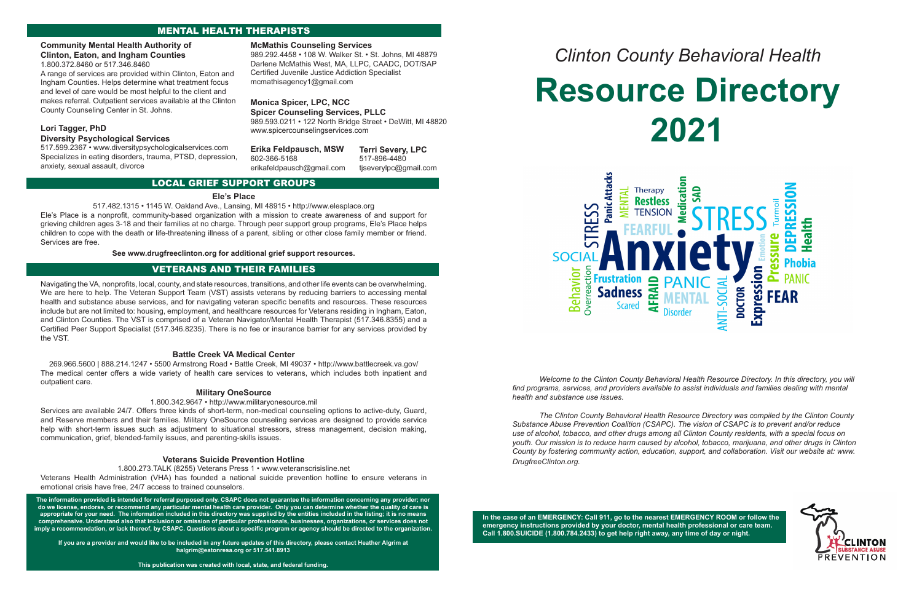# MENTAL HEALTH THERAPISTS

# LOCAL GRIEF SUPPORT GROUPS

### **Ele's Place**

517.482.1315 • 1145 W. Oakland Ave., Lansing, MI 48915 • http://www.elesplace.org

Ele's Place is a nonprofit, community-based organization with a mission to create awareness of and support for grieving children ages 3-18 and their families at no charge. Through peer support group programs, Ele's Place helps children to cope with the death or life-threatening illness of a parent, sibling or other close family member or friend. Services are free.

### **See www.drugfreeclinton.org for additional grief support resources.**

# VETERANS AND THEIR FAMILIES

Navigating the VA, nonprofits, local, county, and state resources, transitions, and other life events can be overwhelming. We are here to help. The Veteran Support Team (VST) assists veterans by reducing barriers to accessing mental health and substance abuse services, and for navigating veteran specific benefits and resources. These resources include but are not limited to: housing, employment, and healthcare resources for Veterans residing in Ingham, Eaton, and Clinton Counties. The VST is comprised of a Veteran Navigator/Mental Health Therapist (517.346.8355) and a Certified Peer Support Specialist (517.346.8235). There is no fee or insurance barrier for any services provided by the VST.

### **Battle Creek VA Medical Center**

269.966.5600 | 888.214.1247 • 5500 Armstrong Road • Battle Creek, MI 49037 • http://www.battlecreek.va.gov/ The medical center offers a wide variety of health care services to veterans, which includes both inpatient and outpatient care.

### **Military OneSource**

### 1.800.342.9647 • http://www.militaryonesource.mil

Services are available 24/7. Offers three kinds of short-term, non-medical counseling options to active-duty, Guard, and Reserve members and their families. Military OneSource counseling services are designed to provide service help with short-term issues such as adjustment to situational stressors, stress management, decision making, communication, grief, blended-family issues, and parenting-skills issues.

### **Veterans Suicide Prevention Hotline**

### 1.800.273.TALK (8255) Veterans Press 1 • www.veteranscrisisline.net

Veterans Health Administration (VHA) has founded a national suicide prevention hotline to ensure veterans in emotional crisis have free, 24/7 access to trained counselors.

**The information provided is intended for referral purposed only. CSAPC does not guarantee the information concerning any provider; nor do we license, endorse, or recommend any particular mental health care provider. Only you can determine whether the quality of care is appropriate for your need. The information included in this directory was supplied by the entities included in the listing; it is no means comprehensive. Understand also that inclusion or omission of particular professionals, businesses, organizations, or services does not imply a recommendation, or lack thereof, by CSAPC. Questions about a specific program or agency should be directed to the organization.** 

**If you are a provider and would like to be included in any future updates of this directory, please contact Heather Algrim at halgrim@eatonresa.org or 517.541.8913**

**This publication was created with local, state, and federal funding.**

# *Clinton County Behavioral Health* **Resource Directory**



# **2021**

*Welcome to the Clinton County Behavioral Health Resource Directory. In this directory, you will find programs, services, and providers available to assist individuals and families dealing with mental health and substance use issues.* 

*The Clinton County Behavioral Health Resource Directory was compiled by the Clinton County Substance Abuse Prevention Coalition (CSAPC). The vision of CSAPC is to prevent and/or reduce use of alcohol, tobacco, and other drugs among all Clinton County residents, with a special focus on youth. Our mission is to reduce harm caused by alcohol, tobacco, marijuana, and other drugs in Clinton County by fostering community action, education, support, and collaboration. Visit our website at: www. DrugfreeClinton.org.*

**In the case of an EMERGENCY: Call 911, go to the nearest EMERGENCY ROOM or follow the emergency instructions provided by your doctor, mental health professional or care team. Call 1.800.SUICIDE (1.800.784.2433) to get help right away, any time of day or night.**



### **McMathis Counseling Services**

989.292.4458 • 108 W. Walker St. • St. Johns, MI 48879 Darlene McMathis West, MA, LLPC, CAADC, DOT/SAP Certified Juvenile Justice Addiction Specialist mcmathisagency1@gmail.com

### **Monica Spicer, LPC, NCC Spicer Counseling Services, PLLC**

989.593.0211 • 122 North Bridge Street • DeWitt, MI 48820 www.spicercounselingservices.com

### **Community Mental Health Authority of Clinton, Eaton, and Ingham Counties**

1.800.372.8460 or 517.346.8460

A range of services are provided within Clinton, Eaton and Ingham Counties. Helps determine what treatment focus and level of care would be most helpful to the client and makes referral. Outpatient services available at the Clinton County Counseling Center in St. Johns.

| Erika Feldpausch, MSW     | <b>Terri Severy, LPC</b> |
|---------------------------|--------------------------|
| 602-366-5168              | 517-896-4480             |
| erikafeldpausch@gmail.com | tjseverylpc@gmail.com    |

# **Lori Tagger, PhD Diversity Psychological Services**

517.599.2367 • www.diversitypsychologicalservices.com Specializes in eating disorders, trauma, PTSD, depression, anxiety, sexual assault, divorce